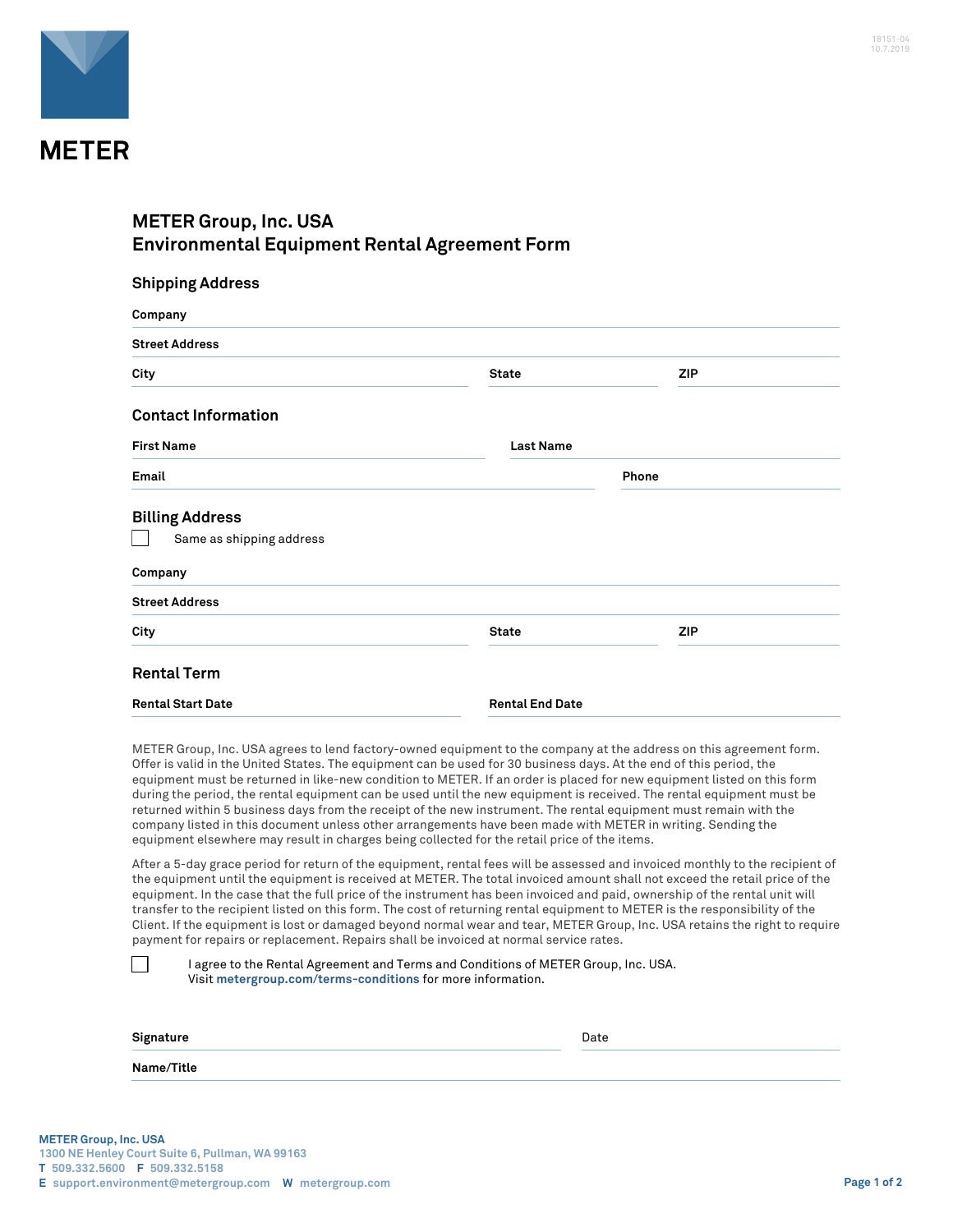

## **METER Group, Inc. USA Environmental Equipment Rental Agreement Form**

| <b>Shipping Address</b>    |                        |            |  |
|----------------------------|------------------------|------------|--|
| Company                    |                        |            |  |
| <b>Street Address</b>      |                        |            |  |
| City                       | <b>State</b>           | <b>ZIP</b> |  |
| <b>Contact Information</b> |                        |            |  |
| <b>First Name</b>          | <b>Last Name</b>       |            |  |
| Email                      |                        | Phone      |  |
| <b>Billing Address</b>     |                        |            |  |
| Same as shipping address   |                        |            |  |
| Company                    |                        |            |  |
| <b>Street Address</b>      |                        |            |  |
| City                       | <b>State</b>           | <b>ZIP</b> |  |
| <b>Rental Term</b>         |                        |            |  |
| <b>Rental Start Date</b>   | <b>Rental End Date</b> |            |  |

METER Group, Inc. USA agrees to lend factory-owned equipment to the company at the address on this agreement form. Offer is valid in the United States. The equipment can be used for 30 business days. At the end of this period, the equipment must be returned in like-new condition to METER. If an order is placed for new equipment listed on this form during the period, the rental equipment can be used until the new equipment is received. The rental equipment must be returned within 5 business days from the receipt of the new instrument. The rental equipment must remain with the company listed in this document unless other arrangements have been made with METER in writing. Sending the equipment elsewhere may result in charges being collected for the retail price of the items.

After a 5-day grace period for return of the equipment, rental fees will be assessed and invoiced monthly to the recipient of the equipment until the equipment is received at METER. The total invoiced amount shall not exceed the retail price of the equipment. In the case that the full price of the instrument has been invoiced and paid, ownership of the rental unit will transfer to the recipient listed on this form. The cost of returning rental equipment to METER is the responsibility of the Client. If the equipment is lost or damaged beyond normal wear and tear, METER Group, Inc. USA retains the right to require payment for repairs or replacement. Repairs shall be invoiced at normal service rates.

|           | I agree to the Rental Agreement and Terms and Conditions of METER Group, Inc. USA.<br>Visit metergroup.com/terms-conditions for more information. |      |
|-----------|---------------------------------------------------------------------------------------------------------------------------------------------------|------|
| Signature |                                                                                                                                                   | Date |

**Name/Title**